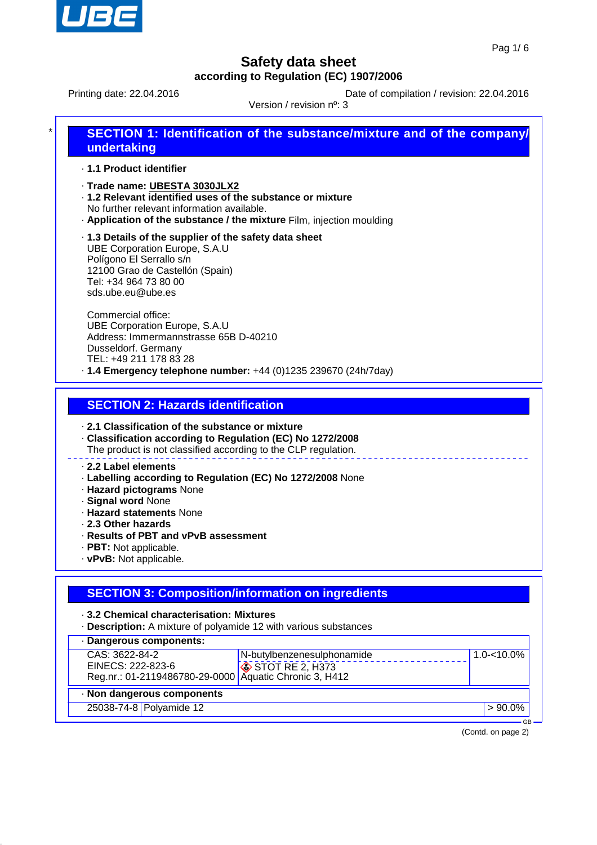

Printing date: 22.04.2016 **Date of compilation / revision: 22.04.2016** 

Version / revision nº: 3

| ÷ I | SECTION 1: Identification of the substance/mixture and of the company/ |
|-----|------------------------------------------------------------------------|
|     | undertaking                                                            |

· **1.1 Product identifier**

- · **Trade name: UBESTA 3030JLX2**
- · **1.2 Relevant identified uses of the substance or mixture** No further relevant information available.
- · **Application of the substance / the mixture** Film, injection moulding

· **1.3 Details of the supplier of the safety data sheet** UBE Corporation Europe, S.A.U Polígono El Serrallo s/n 12100 Grao de Castellón (Spain) Tel: +34 964 73 80 00 sds.ube.eu@ube.es

Commercial office: UBE Corporation Europe, S.A.U Address: Immermannstrasse 65B D-40210 Dusseldorf. Germany TEL: +49 211 178 83 28 · **1.4 Emergency telephone number:** +44 (0)1235 239670 (24h/7day)

**SECTION 2: Hazards identification**

· **2.1 Classification of the substance or mixture**

· **Classification according to Regulation (EC) No 1272/2008**

The product is not classified according to the CLP regulation.

#### · **2.2 Label elements**

- · **Labelling according to Regulation (EC) No 1272/2008** None
- · **Hazard pictograms** None
- · **Signal word** None
- · **Hazard statements** None
- · **2.3 Other hazards**
- · **Results of PBT and vPvB assessment**
- · **PBT:** Not applicable.
- · **vPvB:** Not applicable.

### **SECTION 3: Composition/information on ingredients**

· **3.2 Chemical characterisation: Mixtures**

· **Description:** A mixture of polyamide 12 with various substances

| · Dangerous components:                                |                            |            |  |  |  |
|--------------------------------------------------------|----------------------------|------------|--|--|--|
| CAS: 3622-84-2                                         | N-butylbenzenesulphonamide | 1.0-<10.0% |  |  |  |
| EINECS: 222-823-6                                      | $\otimes$ STOT RE 2, H373  |            |  |  |  |
| Reg.nr.: 01-2119486780-29-0000 Aquatic Chronic 3, H412 |                            |            |  |  |  |
| · Non dangerous components                             |                            |            |  |  |  |
| 25038-74-8 Polyamide 12                                |                            | $>90.0\%$  |  |  |  |

(Contd. on page 2)

GB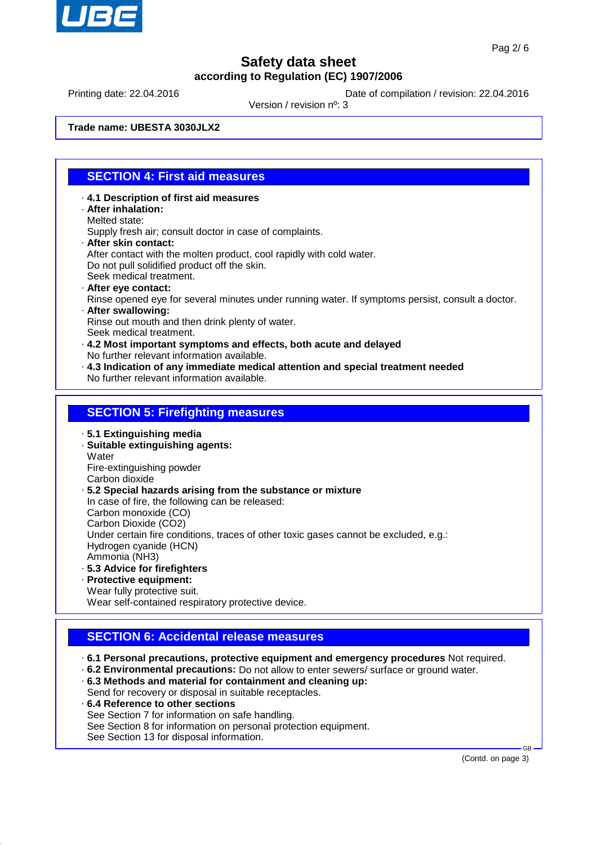

Printing date: 22.04.2016 **Date of compilation / revision: 22.04.2016** 

Version / revision nº: 3

**Trade name: UBESTA 3030JLX2**

### **SECTION 4: First aid measures**

- · **4.1 Description of first aid measures** · **After inhalation:**
- Melted state:

Supply fresh air; consult doctor in case of complaints.

- · **After skin contact:**
	- After contact with the molten product, cool rapidly with cold water. Do not pull solidified product off the skin.
- Seek medical treatment.
- · **After eye contact:**
- Rinse opened eye for several minutes under running water. If symptoms persist, consult a doctor. · **After swallowing:**

Rinse out mouth and then drink plenty of water. Seek medical treatment.

- · **4.2 Most important symptoms and effects, both acute and delayed** No further relevant information available.
- · **4.3 Indication of any immediate medical attention and special treatment needed** No further relevant information available.

#### **SECTION 5: Firefighting measures**

· **5.1 Extinguishing media**

· **Suitable extinguishing agents: Water** Fire-extinguishing powder

Carbon dioxide

· **5.2 Special hazards arising from the substance or mixture**

In case of fire, the following can be released:

Carbon monoxide (CO)

Carbon Dioxide (CO2)

Under certain fire conditions, traces of other toxic gases cannot be excluded, e.g.:

Hydrogen cyanide (HCN)

- Ammonia (NH3)
- · **5.3 Advice for firefighters**
- · **Protective equipment:** Wear fully protective suit.

Wear self-contained respiratory protective device.

# **SECTION 6: Accidental release measures**

· **6.1 Personal precautions, protective equipment and emergency procedures** Not required.

- · **6.2 Environmental precautions:** Do not allow to enter sewers/ surface or ground water.
- · **6.3 Methods and material for containment and cleaning up:** Send for recovery or disposal in suitable receptacles.
- · **6.4 Reference to other sections** See Section 7 for information on safe handling. See Section 8 for information on personal protection equipment. See Section 13 for disposal information.

(Contd. on page 3)

GB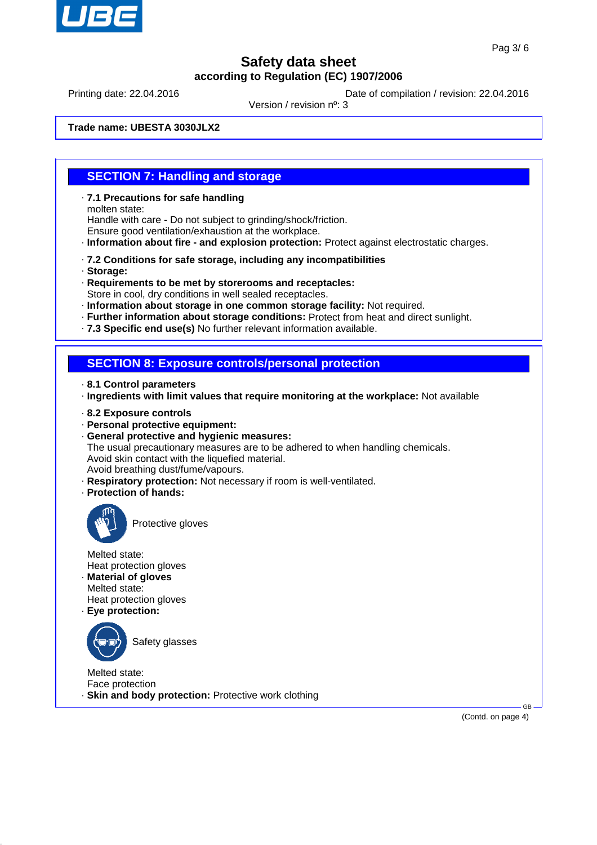

Printing date: 22.04.2016 **Date of compilation / revision: 22.04.2016** 

Version / revision nº: 3

**Trade name: UBESTA 3030JLX2**

#### **SECTION 7: Handling and storage**

- · **7.1 Precautions for safe handling** molten state: Handle with care - Do not subject to grinding/shock/friction. Ensure good ventilation/exhaustion at the workplace.
- · **Information about fire and explosion protection:** Protect against electrostatic charges.
- · **7.2 Conditions for safe storage, including any incompatibilities**
- · **Storage:**
- · **Requirements to be met by storerooms and receptacles:** Store in cool, dry conditions in well sealed receptacles.
- · **Information about storage in one common storage facility:** Not required.
- · **Further information about storage conditions:** Protect from heat and direct sunlight.
- · **7.3 Specific end use(s)** No further relevant information available.

#### **SECTION 8: Exposure controls/personal protection**

- · **8.1 Control parameters**
- · **Ingredients with limit values that require monitoring at the workplace:** Not available
- · **8.2 Exposure controls**
- · **Personal protective equipment:**
- · **General protective and hygienic measures:**
- The usual precautionary measures are to be adhered to when handling chemicals. Avoid skin contact with the liquefied material.
- Avoid breathing dust/fume/vapours.
- · **Respiratory protection:** Not necessary if room is well-ventilated.
- · **Protection of hands:**



Protective gloves

Melted state: Heat protection gloves

- · **Material of gloves** Melted state:
- Heat protection gloves
- · **Eye protection:**



Safety glasses

Melted state: Face protection

· **Skin and body protection:** Protective work clothing

(Contd. on page 4)

GB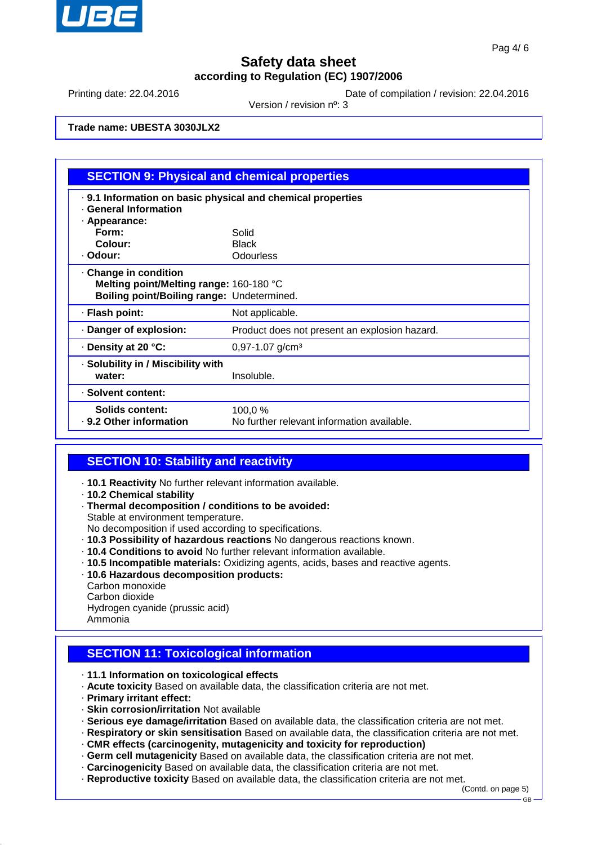

Printing date: 22.04.2016 **Date of compilation / revision: 22.04.2016** 

Version / revision nº: 3

**Trade name: UBESTA 3030JLX2**

| <b>SECTION 9: Physical and chemical properties</b>                                                           |                                                       |  |  |  |
|--------------------------------------------------------------------------------------------------------------|-------------------------------------------------------|--|--|--|
| . 9.1 Information on basic physical and chemical properties<br><b>General Information</b><br>· Appearance:   |                                                       |  |  |  |
| Form:<br>Colour:<br>· Odour:                                                                                 | Solid<br><b>Black</b><br>Odourless                    |  |  |  |
| Change in condition<br>Melting point/Melting range: 160-180 °C<br>Boiling point/Boiling range: Undetermined. |                                                       |  |  |  |
| · Flash point:                                                                                               | Not applicable.                                       |  |  |  |
| Danger of explosion:                                                                                         | Product does not present an explosion hazard.         |  |  |  |
| ⋅ Density at 20 °C:                                                                                          | 0,97-1.07 g/cm <sup>3</sup>                           |  |  |  |
| · Solubility in / Miscibility with<br>water:                                                                 | Insoluble.                                            |  |  |  |
| · Solvent content:                                                                                           |                                                       |  |  |  |
| <b>Solids content:</b><br>. 9.2 Other information                                                            | 100,0 %<br>No further relevant information available. |  |  |  |

#### **SECTION 10: Stability and reactivity**

- · **10.1 Reactivity** No further relevant information available.
- · **10.2 Chemical stability**
- · **Thermal decomposition / conditions to be avoided:**

Stable at environment temperature.

No decomposition if used according to specifications.

- · **10.3 Possibility of hazardous reactions** No dangerous reactions known.
- · **10.4 Conditions to avoid** No further relevant information available.
- · **10.5 Incompatible materials:** Oxidizing agents, acids, bases and reactive agents.
- · **10.6 Hazardous decomposition products:**

Carbon monoxide

Carbon dioxide

Hydrogen cyanide (prussic acid)

Ammonia

# **SECTION 11: Toxicological information**

- · **11.1 Information on toxicological effects**
- · **Acute toxicity** Based on available data, the classification criteria are not met.
- · **Primary irritant effect:**
- · **Skin corrosion/irritation** Not available
- · **Serious eye damage/irritation** Based on available data, the classification criteria are not met.
- · **Respiratory or skin sensitisation** Based on available data, the classification criteria are not met.
- · **CMR effects (carcinogenity, mutagenicity and toxicity for reproduction)**
- · **Germ cell mutagenicity** Based on available data, the classification criteria are not met.
- · **Carcinogenicity** Based on available data, the classification criteria are not met.
- · **Reproductive toxicity** Based on available data, the classification criteria are not met.

(Contd. on page 5)

GB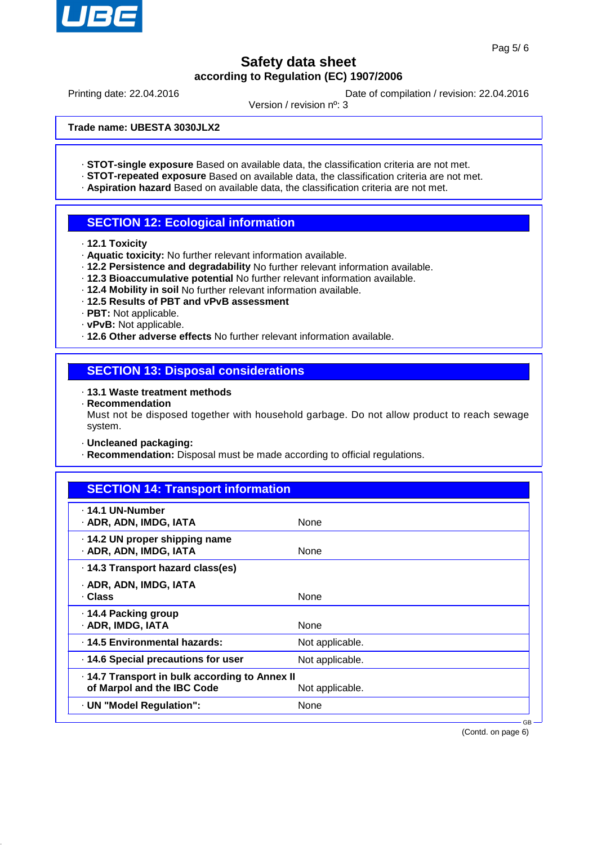

Printing date: 22.04.2016 **Date of compilation / revision: 22.04.2016** 

Version / revision nº: 3

**Trade name: UBESTA 3030JLX2**

- · **STOT-single exposure** Based on available data, the classification criteria are not met.
- · **STOT-repeated exposure** Based on available data, the classification criteria are not met.
- · **Aspiration hazard** Based on available data, the classification criteria are not met.

### **SECTION 12: Ecological information**

- · **12.1 Toxicity**
- · **Aquatic toxicity:** No further relevant information available.
- · **12.2 Persistence and degradability** No further relevant information available.
- · **12.3 Bioaccumulative potential** No further relevant information available.
- · **12.4 Mobility in soil** No further relevant information available.
- · **12.5 Results of PBT and vPvB assessment**
- · **PBT:** Not applicable.
- · **vPvB:** Not applicable.
- · **12.6 Other adverse effects** No further relevant information available.

#### **SECTION 13: Disposal considerations**

- · **13.1 Waste treatment methods**
- · **Recommendation**

Must not be disposed together with household garbage. Do not allow product to reach sewage system.

- · **Uncleaned packaging:**
- · **Recommendation:** Disposal must be made according to official regulations.

| <b>SECTION 14: Transport information</b>                                   |                 |  |
|----------------------------------------------------------------------------|-----------------|--|
| . 14.1 UN-Number<br>· ADR, ADN, IMDG, IATA                                 | None            |  |
| · 14.2 UN proper shipping name<br>· ADR, ADN, IMDG, IATA                   | None            |  |
| 14.3 Transport hazard class(es)                                            |                 |  |
| · ADR, ADN, IMDG, IATA<br>· Class                                          | None            |  |
| 14.4 Packing group<br>· ADR, IMDG, IATA                                    | None            |  |
| · 14.5 Environmental hazards:                                              | Not applicable. |  |
| · 14.6 Special precautions for user                                        | Not applicable. |  |
| 14.7 Transport in bulk according to Annex II<br>of Marpol and the IBC Code | Not applicable. |  |
| · UN "Model Regulation":                                                   | None            |  |
|                                                                            | $GR -$          |  |

(Contd. on page 6)